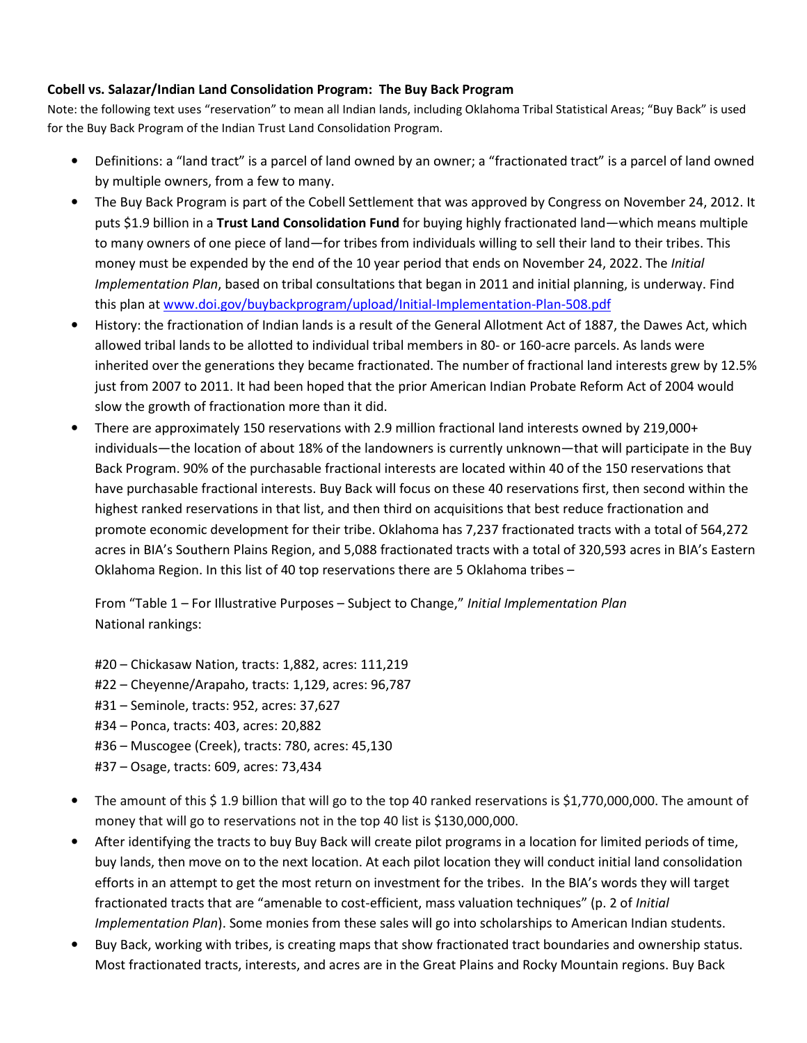## Cobell vs. Salazar/Indian Land Consolidation Program: The Buy Back Program

Note: the following text uses "reservation" to mean all Indian lands, including Oklahoma Tribal Statistical Areas; "Buy Back" is used for the Buy Back Program of the Indian Trust Land Consolidation Program.

- Definitions: a "land tract" is a parcel of land owned by an owner; a "fractionated tract" is a parcel of land owned by multiple owners, from a few to many.
- The Buy Back Program is part of the Cobell Settlement that was approved by Congress on November 24, 2012. It puts \$1.9 billion in a Trust Land Consolidation Fund for buying highly fractionated land—which means multiple to many owners of one piece of land—for tribes from individuals willing to sell their land to their tribes. This money must be expended by the end of the 10 year period that ends on November 24, 2022. The *Initial* Implementation Plan, based on tribal consultations that began in 2011 and initial planning, is underway. Find this plan at www.doi.gov/buybackprogram/upload/Initial-Implementation-Plan-508.pdf
- History: the fractionation of Indian lands is a result of the General Allotment Act of 1887, the Dawes Act, which allowed tribal lands to be allotted to individual tribal members in 80- or 160-acre parcels. As lands were inherited over the generations they became fractionated. The number of fractional land interests grew by 12.5% just from 2007 to 2011. It had been hoped that the prior American Indian Probate Reform Act of 2004 would slow the growth of fractionation more than it did.
- There are approximately 150 reservations with 2.9 million fractional land interests owned by 219,000+ individuals—the location of about 18% of the landowners is currently unknown—that will participate in the Buy Back Program. 90% of the purchasable fractional interests are located within 40 of the 150 reservations that have purchasable fractional interests. Buy Back will focus on these 40 reservations first, then second within the highest ranked reservations in that list, and then third on acquisitions that best reduce fractionation and promote economic development for their tribe. Oklahoma has 7,237 fractionated tracts with a total of 564,272 acres in BIA's Southern Plains Region, and 5,088 fractionated tracts with a total of 320,593 acres in BIA's Eastern Oklahoma Region. In this list of 40 top reservations there are 5 Oklahoma tribes –

From "Table 1 – For Illustrative Purposes – Subject to Change," Initial Implementation Plan National rankings:

#20 – Chickasaw Nation, tracts: 1,882, acres: 111,219 #22 – Cheyenne/Arapaho, tracts: 1,129, acres: 96,787 #31 – Seminole, tracts: 952, acres: 37,627 #34 – Ponca, tracts: 403, acres: 20,882 #36 – Muscogee (Creek), tracts: 780, acres: 45,130 #37 – Osage, tracts: 609, acres: 73,434

- The amount of this \$ 1.9 billion that will go to the top 40 ranked reservations is \$1,770,000,000. The amount of money that will go to reservations not in the top 40 list is \$130,000,000.
- After identifying the tracts to buy Buy Back will create pilot programs in a location for limited periods of time, buy lands, then move on to the next location. At each pilot location they will conduct initial land consolidation efforts in an attempt to get the most return on investment for the tribes. In the BIA's words they will target fractionated tracts that are "amenable to cost-efficient, mass valuation techniques" (p. 2 of Initial Implementation Plan). Some monies from these sales will go into scholarships to American Indian students.
- Buy Back, working with tribes, is creating maps that show fractionated tract boundaries and ownership status. Most fractionated tracts, interests, and acres are in the Great Plains and Rocky Mountain regions. Buy Back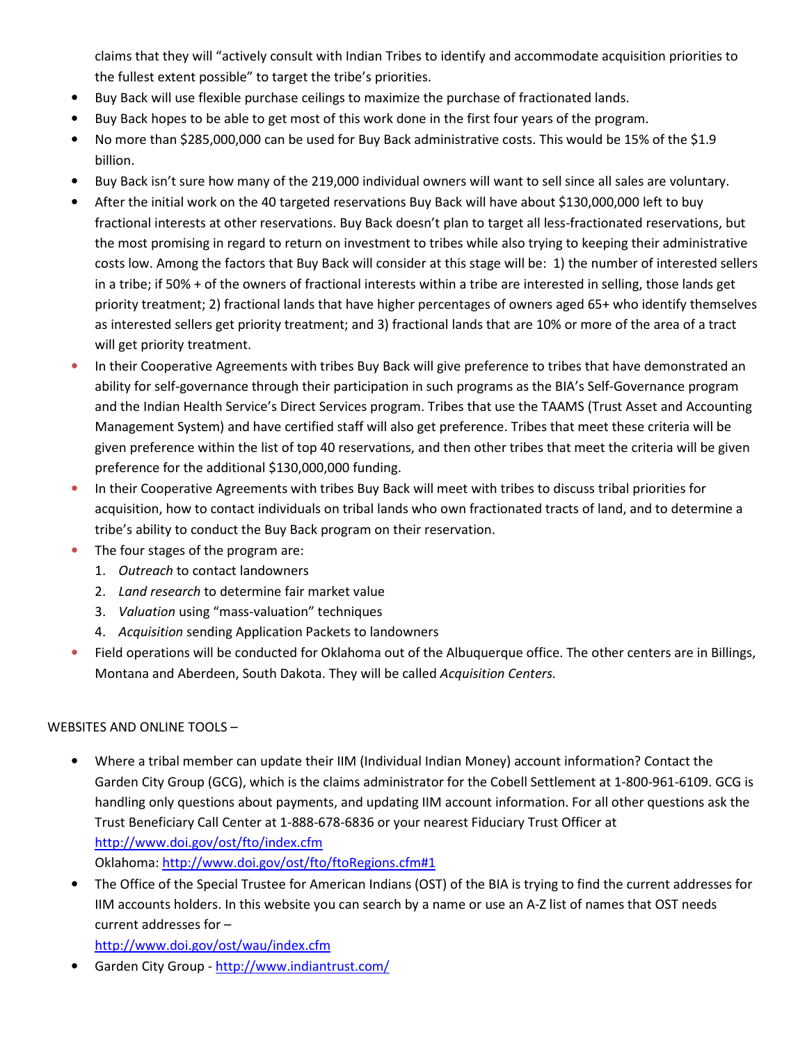claims that they will "actively consult with Indian Tribes to identify and accommodate acquisition priorities to the fullest extent possible" to target the tribe's priorities.

- Buy Back will use flexible purchase ceilings to maximize the purchase of fractionated lands.
- Buy Back hopes to be able to get most of this work done in the first four years of the program.
- No more than \$285,000,000 can be used for Buy Back administrative costs. This would be 15% of the \$1.9 billion.
- Buy Back isn't sure how many of the 219,000 individual owners will want to sell since all sales are voluntary.
- After the initial work on the 40 targeted reservations Buy Back will have about \$130,000,000 left to buy fractional interests at other reservations. Buy Back doesn't plan to target all less-fractionated reservations, but the most promising in regard to return on investment to tribes while also trying to keeping their administrative costs low. Among the factors that Buy Back will consider at this stage will be: 1) the number of interested sellers in a tribe; if 50% + of the owners of fractional interests within a tribe are interested in selling, those lands get priority treatment; 2) fractional lands that have higher percentages of owners aged 65+ who identify themselves as interested sellers get priority treatment; and 3) fractional lands that are 10% or more of the area of a tract will get priority treatment.
- In their Cooperative Agreements with tribes Buy Back will give preference to tribes that have demonstrated an ability for self-governance through their participation in such programs as the BIA's Self-Governance program and the Indian Health Service's Direct Services program. Tribes that use the TAAMS (Trust Asset and Accounting Management System) and have certified staff will also get preference. Tribes that meet these criteria will be given preference within the list of top 40 reservations, and then other tribes that meet the criteria will be given preference for the additional \$130,000,000 funding.
- In their Cooperative Agreements with tribes Buy Back will meet with tribes to discuss tribal priorities for acquisition, how to contact individuals on tribal lands who own fractionated tracts of land, and to determine a tribe's ability to conduct the Buy Back program on their reservation.
- The four stages of the program are:
	- 1. Outreach to contact landowners
	- 2. Land research to determine fair market value
	- 3. Valuation using "mass-valuation" techniques
	- 4. Acquisition sending Application Packets to landowners
- Field operations will be conducted for Oklahoma out of the Albuquerque office. The other centers are in Billings, Montana and Aberdeen, South Dakota. They will be called Acquisition Centers.

## WEBSITES AND ONLINE TOOLS –

• Where a tribal member can update their IIM (Individual Indian Money) account information? Contact the Garden City Group (GCG), which is the claims administrator for the Cobell Settlement at 1-800-961-6109. GCG is handling only questions about payments, and updating IIM account information. For all other questions ask the Trust Beneficiary Call Center at 1-888-678-6836 or your nearest Fiduciary Trust Officer at http://www.doi.gov/ost/fto/index.cfm

Oklahoma: http://www.doi.gov/ost/fto/ftoRegions.cfm#1

• The Office of the Special Trustee for American Indians (OST) of the BIA is trying to find the current addresses for IIM accounts holders. In this website you can search by a name or use an A-Z list of names that OST needs current addresses for –

http://www.doi.gov/ost/wau/index.cfm

• Garden City Group - http://www.indiantrust.com/